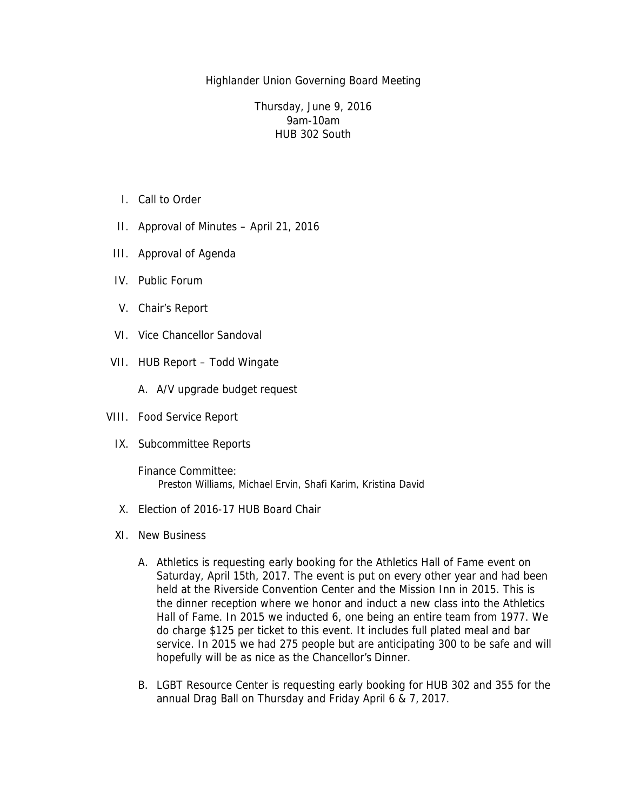Highlander Union Governing Board Meeting

Thursday, June 9, 2016 9am-10am HUB 302 South

- I. Call to Order
- II. Approval of Minutes April 21, 2016
- III. Approval of Agenda
- IV. Public Forum
- V. Chair's Report
- VI. Vice Chancellor Sandoval
- VII. HUB Report Todd Wingate
	- A. A/V upgrade budget request
- VIII. Food Service Report
	- IX. Subcommittee Reports
		- Finance Committee: Preston Williams, Michael Ervin, Shafi Karim, Kristina David
	- X. Election of 2016-17 HUB Board Chair
	- XI. New Business
		- A. Athletics is requesting early booking for the Athletics Hall of Fame event on Saturday, April 15th, 2017. The event is put on every other year and had been held at the Riverside Convention Center and the Mission Inn in 2015. This is the dinner reception where we honor and induct a new class into the Athletics Hall of Fame. In 2015 we inducted 6, one being an entire team from 1977. We do charge \$125 per ticket to this event. It includes full plated meal and bar service. In 2015 we had 275 people but are anticipating 300 to be safe and will hopefully will be as nice as the Chancellor's Dinner.
		- B. LGBT Resource Center is requesting early booking for HUB 302 and 355 for the annual Drag Ball on Thursday and Friday April 6 & 7, 2017.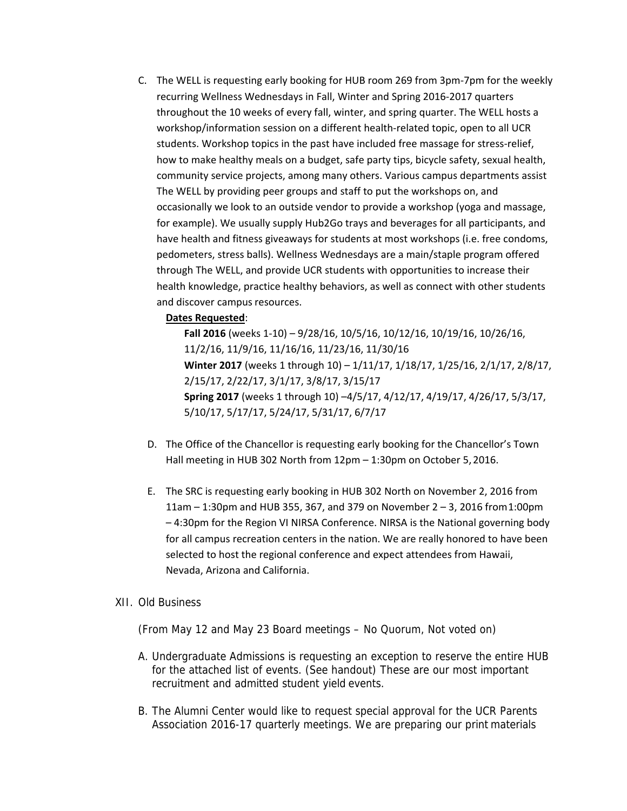C. The WELL is requesting early booking for HUB room 269 from 3pm‐7pm for the weekly recurring Wellness Wednesdays in Fall, Winter and Spring 2016‐2017 quarters throughout the 10 weeks of every fall, winter, and spring quarter. The WELL hosts a workshop/information session on a different health-related topic, open to all UCR students. Workshop topics in the past have included free massage for stress-relief, how to make healthy meals on a budget, safe party tips, bicycle safety, sexual health, community service projects, among many others. Various campus departments assist The WELL by providing peer groups and staff to put the workshops on, and occasionally we look to an outside vendor to provide a workshop (yoga and massage, for example). We usually supply Hub2Go trays and beverages for all participants, and have health and fitness giveaways for students at most workshops (i.e. free condoms, pedometers, stress balls). Wellness Wednesdays are a main/staple program offered through The WELL, and provide UCR students with opportunities to increase their health knowledge, practice healthy behaviors, as well as connect with other students and discover campus resources.

### **Dates Requested**:

**Fall 2016** (weeks 1‐10) – 9/28/16, 10/5/16, 10/12/16, 10/19/16, 10/26/16, 11/2/16, 11/9/16, 11/16/16, 11/23/16, 11/30/16 **Winter 2017** (weeks 1 through 10) – 1/11/17, 1/18/17, 1/25/16, 2/1/17, 2/8/17, 2/15/17, 2/22/17, 3/1/17, 3/8/17, 3/15/17 **Spring 2017** (weeks 1 through 10) –4/5/17, 4/12/17, 4/19/17, 4/26/17, 5/3/17, 5/10/17, 5/17/17, 5/24/17, 5/31/17, 6/7/17

- D. The Office of the Chancellor is requesting early booking for the Chancellor's Town Hall meeting in HUB 302 North from 12pm – 1:30pm on October 5, 2016.
- E. The SRC is requesting early booking in HUB 302 North on November 2, 2016 from 11am – 1:30pm and HUB 355, 367, and 379 on November 2 – 3, 2016 from1:00pm – 4:30pm for the Region VI NIRSA Conference. NIRSA is the National governing body for all campus recreation centers in the nation. We are really honored to have been selected to host the regional conference and expect attendees from Hawaii, Nevada, Arizona and California.

### XII. Old Business

(From May 12 and May 23 Board meetings – No Quorum, Not voted on)

- A. Undergraduate Admissions is requesting an exception to reserve the entire HUB for the attached list of events. (See handout) These are our most important recruitment and admitted student yield events.
- B. The Alumni Center would like to request special approval for the UCR Parents Association 2016-17 quarterly meetings. We are preparing our print materials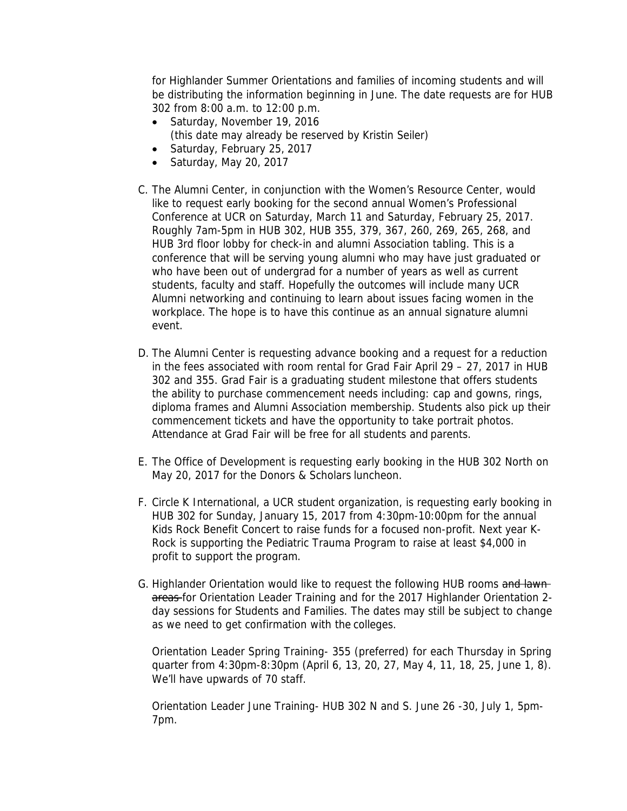for Highlander Summer Orientations and families of incoming students and will be distributing the information beginning in June. The date requests are for HUB 302 from 8:00 a.m. to 12:00 p.m.

- Saturday, November 19, 2016 (this date may already be reserved by Kristin Seiler)
- Saturday, February 25, 2017
- $\bullet$  Saturday, May 20, 2017
- C. The Alumni Center, in conjunction with the Women's Resource Center, would like to request early booking for the second annual Women's Professional Conference at UCR on Saturday, March 11 and Saturday, February 25, 2017. Roughly 7am-5pm in HUB 302, HUB 355, 379, 367, 260, 269, 265, 268, and HUB 3rd floor lobby for check-in and alumni Association tabling. This is a conference that will be serving young alumni who may have just graduated or who have been out of undergrad for a number of years as well as current students, faculty and staff. Hopefully the outcomes will include many UCR Alumni networking and continuing to learn about issues facing women in the workplace. The hope is to have this continue as an annual signature alumni event.
- D. The Alumni Center is requesting advance booking and a request for a reduction in the fees associated with room rental for Grad Fair April 29 – 27, 2017 in HUB 302 and 355. Grad Fair is a graduating student milestone that offers students the ability to purchase commencement needs including: cap and gowns, rings, diploma frames and Alumni Association membership. Students also pick up their commencement tickets and have the opportunity to take portrait photos. Attendance at Grad Fair will be free for all students and parents.
- E. The Office of Development is requesting early booking in the HUB 302 North on May 20, 2017 for the Donors & Scholars luncheon.
- F. Circle K International, a UCR student organization, is requesting early booking in HUB 302 for Sunday, January 15, 2017 from 4:30pm-10:00pm for the annual Kids Rock Benefit Concert to raise funds for a focused non-profit. Next year K-Rock is supporting the Pediatric Trauma Program to raise at least \$4,000 in profit to support the program.
- G. Highlander Orientation would like to request the following HUB rooms and lawnareas for Orientation Leader Training and for the 2017 Highlander Orientation 2day sessions for Students and Families. The dates may still be subject to change as we need to get confirmation with the colleges.

Orientation Leader Spring Training- 355 (preferred) for each Thursday in Spring quarter from 4:30pm-8:30pm (April 6, 13, 20, 27, May 4, 11, 18, 25, June 1, 8). We'll have upwards of 70 staff.

Orientation Leader June Training- HUB 302 N and S. June 26 -30, July 1, 5pm-7pm.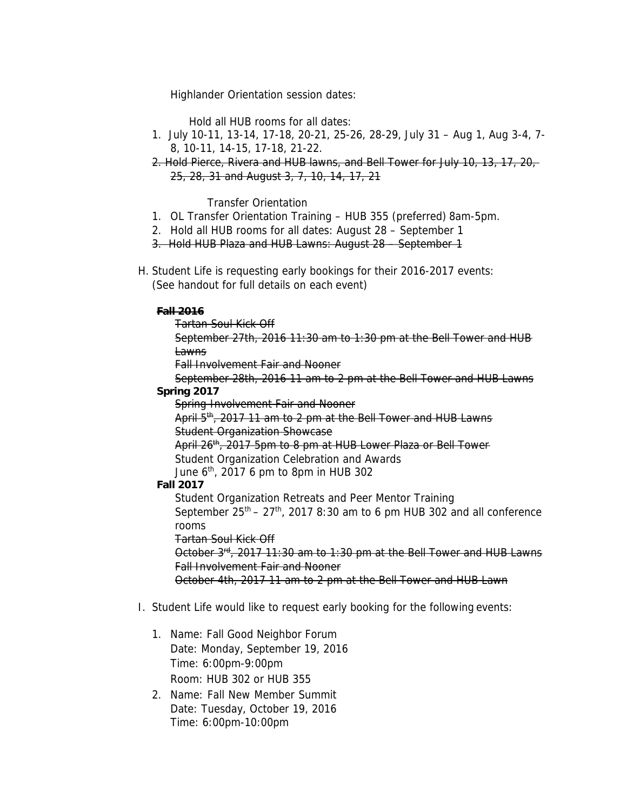Highlander Orientation session dates:

Hold all HUB rooms for all dates:

- 1. July 10-11, 13-14, 17-18, 20-21, 25-26, 28-29, July 31 Aug 1, Aug 3-4, 7- 8, 10-11, 14-15, 17-18, 21-22.
- 2. Hold Pierce, Rivera and HUB lawns, and Bell Tower for July 10, 13, 17, 20, 25, 28, 31 and August 3, 7, 10, 14, 17, 21

Transfer Orientation

- 1. OL Transfer Orientation Training HUB 355 (preferred) 8am-5pm.
- 2. Hold all HUB rooms for all dates: August 28 September 1
- 3. Hold HUB Plaza and HUB Lawns: August 28 September 1
- H. Student Life is requesting early bookings for their 2016-2017 events: (See handout for full details on each event)

### **Fall 2016**

- Tartan Soul Kick Off
- September 27th, 2016 11:30 am to 1:30 pm at the Bell Tower and HUB **Lawns**

Fall Involvement Fair and Nooner

- September 28th, 2016 11 am to 2 pm at the Bell Tower and HUB Lawns **Spring 2017** 
	- Spring Involvement Fair and Nooner
	- April 5<sup>th</sup>, 2017 11 am to 2 pm at the Bell Tower and HUB Lawns Student Organization Showcase
	- April 26<sup>th</sup>, 2017 5pm to 8 pm at HUB Lower Plaza or Bell Tower
	- Student Organization Celebration and Awards
	- June  $6<sup>th</sup>$ , 2017 6 pm to 8pm in HUB 302

## **Fall 2017**

Student Organization Retreats and Peer Mentor Training September  $25<sup>th</sup> - 27<sup>th</sup>$ , 2017 8:30 am to 6 pm HUB 302 and all conference rooms

Tartan Soul Kick Off

October  $3^{rd}$ , 2017 11:30 am to 1:30 pm at the Bell Tower and HUB Lawns Fall Involvement Fair and Nooner

October 4th, 2017 11 am to 2 pm at the Bell Tower and HUB Lawn

# I. Student Life would like to request early booking for the following events:

- 1. Name: Fall Good Neighbor Forum Date: Monday, September 19, 2016 Time: 6:00pm-9:00pm Room: HUB 302 or HUB 355
- 2. Name: Fall New Member Summit Date: Tuesday, October 19, 2016 Time: 6:00pm-10:00pm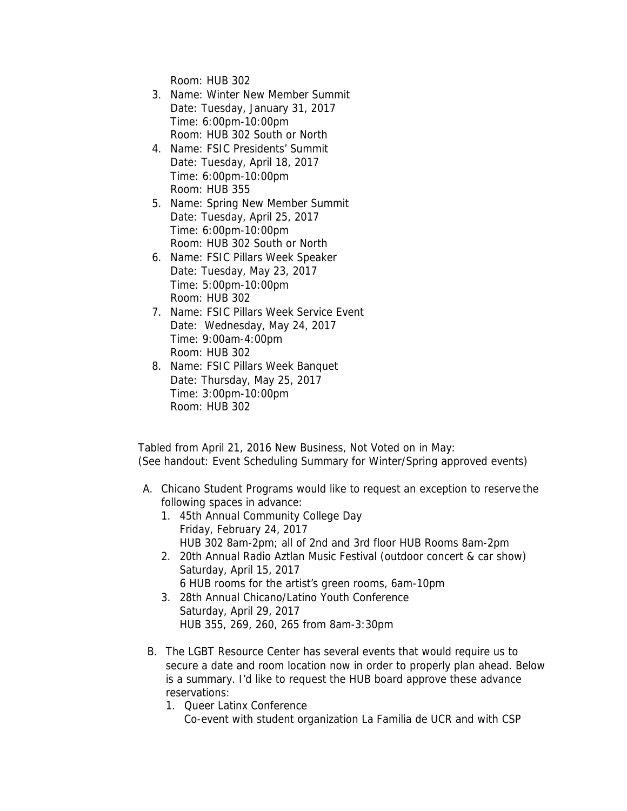Room: HUB 302

- 3. Name: Winter New Member Summit Date: Tuesday, January 31, 2017 Time: 6:00pm-10:00pm Room: HUB 302 South or North
- 4. Name: FSIC Presidents' Summit Date: Tuesday, April 18, 2017 Time: 6:00pm-10:00pm Room: HUB 355
- 5. Name: Spring New Member Summit Date: Tuesday, April 25, 2017 Time: 6:00pm-10:00pm Room: HUB 302 South or North
- 6. Name: FSIC Pillars Week Speaker Date: Tuesday, May 23, 2017 Time: 5:00pm-10:00pm Room: HUB 302
- 7. Name: FSIC Pillars Week Service Event Date: Wednesday, May 24, 2017 Time: 9:00am-4:00pm Room: HUB 302
- 8. Name: FSIC Pillars Week Banquet Date: Thursday, May 25, 2017 Time: 3:00pm-10:00pm Room: HUB 302

Tabled from April 21, 2016 New Business, Not Voted on in May: (See handout: Event Scheduling Summary for Winter/Spring approved events)

- A. Chicano Student Programs would like to request an exception to reserve the following spaces in advance:
	- 1. 45th Annual Community College Day Friday, February 24, 2017 HUB 302 8am-2pm; all of 2nd and 3rd floor HUB Rooms 8am-2pm
	- 2. 20th Annual Radio Aztlan Music Festival (outdoor concert & car show) Saturday, April 15, 2017 6 HUB rooms for the artist's green rooms, 6am-10pm
	- 3. 28th Annual Chicano/Latino Youth Conference Saturday, April 29, 2017 HUB 355, 269, 260, 265 from 8am-3:30pm
- B. The LGBT Resource Center has several events that would require us to secure a date and room location now in order to properly plan ahead. Below is a summary. I'd like to request the HUB board approve these advance reservations:
	- 1. Queer Latinx Conference
		- Co-event with student organization La Familia de UCR and with CSP